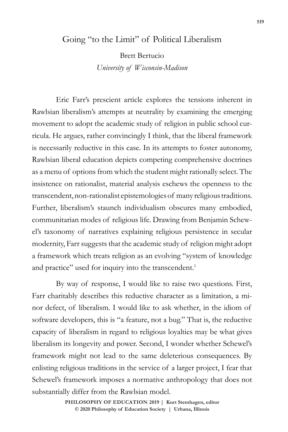## Going "to the Limit" of Political Liberalism

Brett Bertucio

*University of Wisconsin-Madison*

Eric Farr's prescient article explores the tensions inherent in Rawlsian liberalism's attempts at neutrality by examining the emerging movement to adopt the academic study of religion in public school curricula. He argues, rather convincingly I think, that the liberal framework is necessarily reductive in this case. In its attempts to foster autonomy, Rawlsian liberal education depicts competing comprehensive doctrines as a menu of options from which the student might rationally select. The insistence on rationalist, material analysis eschews the openness to the transcendent, non-rationalist epistemologies of many religious traditions. Further, liberalism's staunch individualism obscures many embodied, communitarian modes of religious life. Drawing from Benjamin Schewel's taxonomy of narratives explaining religious persistence in secular modernity, Farr suggests that the academic study of religion might adopt a framework which treats religion as an evolving "system of knowledge and practice" used for inquiry into the transcendent.<sup>1</sup>

By way of response, I would like to raise two questions. First, Farr charitably describes this reductive character as a limitation, a minor defect, of liberalism. I would like to ask whether, in the idiom of software developers, this is "a feature, not a bug." That is, the reductive capacity of liberalism in regard to religious loyalties may be what gives liberalism its longevity and power. Second, I wonder whether Schewel's framework might not lead to the same deleterious consequences. By enlisting religious traditions in the service of a larger project, I fear that Schewel's framework imposes a normative anthropology that does not substantially differ from the Rawlsian model.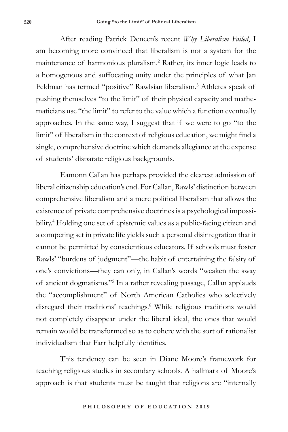After reading Patrick Deneen's recent *Why Liberalism Failed*, I am becoming more convinced that liberalism is not a system for the maintenance of harmonious pluralism.2 Rather, its inner logic leads to a homogenous and suffocating unity under the principles of what Jan Feldman has termed "positive" Rawlsian liberalism.<sup>3</sup> Athletes speak of pushing themselves "to the limit" of their physical capacity and mathematicians use "the limit" to refer to the value which a function eventually approaches. In the same way, I suggest that if we were to go "to the limit" of liberalism in the context of religious education, we might find a single, comprehensive doctrine which demands allegiance at the expense of students' disparate religious backgrounds.

Eamonn Callan has perhaps provided the clearest admission of liberal citizenship education's end. For Callan, Rawls' distinction between comprehensive liberalism and a mere political liberalism that allows the existence of private comprehensive doctrines is a psychological impossibility.4 Holding one set of epistemic values as a public-facing citizen and a competing set in private life yields such a personal disintegration that it cannot be permitted by conscientious educators. If schools must foster Rawls' "burdens of judgment"—the habit of entertaining the falsity of one's convictions—they can only, in Callan's words "weaken the sway of ancient dogmatisms."5 In a rather revealing passage, Callan applauds the "accomplishment" of North American Catholics who selectively disregard their traditions' teachings.<sup>6</sup> While religious traditions would not completely disappear under the liberal ideal, the ones that would remain would be transformed so as to cohere with the sort of rationalist individualism that Farr helpfully identifies.

This tendency can be seen in Diane Moore's framework for teaching religious studies in secondary schools. A hallmark of Moore's approach is that students must be taught that religions are "internally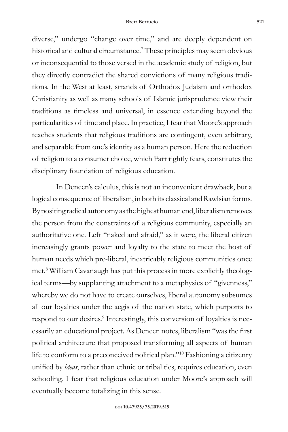diverse," undergo "change over time," and are deeply dependent on historical and cultural circumstance.<sup>7</sup> These principles may seem obvious or inconsequential to those versed in the academic study of religion, but they directly contradict the shared convictions of many religious traditions. In the West at least, strands of Orthodox Judaism and orthodox Christianity as well as many schools of Islamic jurisprudence view their traditions as timeless and universal, in essence extending beyond the particularities of time and place. In practice, I fear that Moore's approach teaches students that religious traditions are contingent, even arbitrary, and separable from one's identity as a human person. Here the reduction of religion to a consumer choice, which Farr rightly fears, constitutes the disciplinary foundation of religious education.

In Deneen's calculus, this is not an inconvenient drawback, but a logical consequence of liberalism, in both its classical and Rawlsian forms. By positing radical autonomy as the highest human end, liberalism removes the person from the constraints of a religious community, especially an authoritative one. Left "naked and afraid," as it were, the liberal citizen increasingly grants power and loyalty to the state to meet the host of human needs which pre-liberal, inextricably religious communities once met.8 William Cavanaugh has put this process in more explicitly theological terms—by supplanting attachment to a metaphysics of "givenness," whereby we do not have to create ourselves, liberal autonomy subsumes all our loyalties under the aegis of the nation state, which purports to respond to our desires.<sup>9</sup> Interestingly, this conversion of loyalties is necessarily an educational project. As Deneen notes, liberalism "was the first political architecture that proposed transforming all aspects of human life to conform to a preconceived political plan."10 Fashioning a citizenry unified by *ideas*, rather than ethnic or tribal ties, requires education, even schooling. I fear that religious education under Moore's approach will eventually become totalizing in this sense.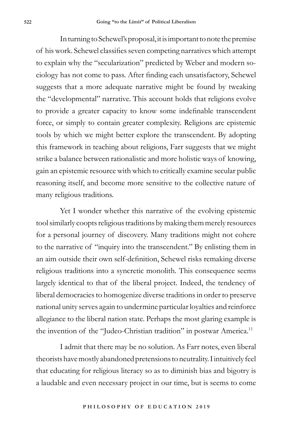In turning to Schewel's proposal, it is important to note the premise of his work. Schewel classifies seven competing narratives which attempt to explain why the "secularization" predicted by Weber and modern sociology has not come to pass. After finding each unsatisfactory, Schewel suggests that a more adequate narrative might be found by tweaking the "developmental" narrative. This account holds that religions evolve to provide a greater capacity to know some indefinable transcendent force, or simply to contain greater complexity. Religions are epistemic tools by which we might better explore the transcendent. By adopting this framework in teaching about religions, Farr suggests that we might strike a balance between rationalistic and more holistic ways of knowing, gain an epistemic resource with which to critically examine secular public reasoning itself, and become more sensitive to the collective nature of many religious traditions.

Yet I wonder whether this narrative of the evolving epistemic tool similarly coopts religious traditions by making them merely resources for a personal journey of discovery. Many traditions might not cohere to the narrative of "inquiry into the transcendent." By enlisting them in an aim outside their own self-definition, Schewel risks remaking diverse religious traditions into a syncretic monolith. This consequence seems largely identical to that of the liberal project. Indeed, the tendency of liberal democracies to homogenize diverse traditions in order to preserve national unity serves again to undermine particular loyalties and reinforce allegiance to the liberal nation state. Perhaps the most glaring example is the invention of the "Judeo-Christian tradition" in postwar America.<sup>11</sup>

I admit that there may be no solution. As Farr notes, even liberal theorists have mostly abandoned pretensions to neutrality. I intuitively feel that educating for religious literacy so as to diminish bias and bigotry is a laudable and even necessary project in our time, but is seems to come